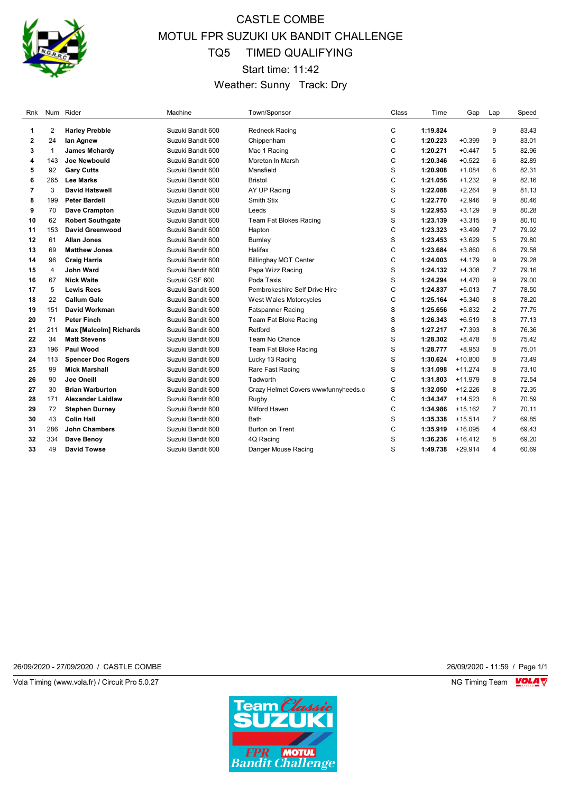

# CASTLE COMBE MOTUL FPR SUZUKI UK BANDIT CHALLENGE TQ5 TIMED QUALIFYING Start time: 11:42 Weather: Sunny Track: Dry

| Rnk          |              | Num Rider                     | Machine           | Town/Sponsor                        | Class        | Time     | Gap       | Lap            | Speed |
|--------------|--------------|-------------------------------|-------------------|-------------------------------------|--------------|----------|-----------|----------------|-------|
| 1            | 2            | <b>Harley Prebble</b>         | Suzuki Bandit 600 | <b>Redneck Racing</b>               | $\mathsf{C}$ | 1:19.824 |           | 9              | 83.43 |
| $\mathbf{2}$ | 24           | lan Agnew                     | Suzuki Bandit 600 | Chippenham                          | C            | 1:20.223 | $+0.399$  | 9              | 83.01 |
| 3            | $\mathbf{1}$ | <b>James Mchardy</b>          | Suzuki Bandit 600 | Mac 1 Racing                        | C            | 1:20.271 | $+0.447$  | 5              | 82.96 |
| 4            | 143          | Joe Newbould                  | Suzuki Bandit 600 | Moreton In Marsh                    | C            | 1:20.346 | $+0.522$  | 6              | 82.89 |
| 5            | 92           | <b>Gary Cutts</b>             | Suzuki Bandit 600 | Mansfield                           | S            | 1:20.908 | $+1.084$  | 6              | 82.31 |
| 6            | 265          | <b>Lee Marks</b>              | Suzuki Bandit 600 | <b>Bristol</b>                      | C            | 1:21.056 | $+1.232$  | 9              | 82.16 |
| 7            | 3            | <b>David Hatswell</b>         | Suzuki Bandit 600 | AY UP Racing                        | S            | 1:22.088 | $+2.264$  | 9              | 81.13 |
| 8            | 199          | <b>Peter Bardell</b>          | Suzuki Bandit 600 | Smith Stix                          | C            | 1:22.770 | $+2.946$  | 9              | 80.46 |
| 9            | 70           | Dave Crampton                 | Suzuki Bandit 600 | Leeds                               | S            | 1:22.953 | $+3.129$  | 9              | 80.28 |
| 10           | 62           | <b>Robert Southgate</b>       | Suzuki Bandit 600 | Team Fat Blokes Racing              | S            | 1:23.139 | $+3.315$  | 9              | 80.10 |
| 11           | 153          | David Greenwood               | Suzuki Bandit 600 | Hapton                              | C            | 1:23.323 | $+3.499$  | $\overline{7}$ | 79.92 |
| 12           | 61           | <b>Allan Jones</b>            | Suzuki Bandit 600 | <b>Burnley</b>                      | S            | 1:23.453 | $+3.629$  | 5              | 79.80 |
| 13           | 69           | <b>Matthew Jones</b>          | Suzuki Bandit 600 | Halifax                             | C            | 1:23.684 | $+3.860$  | 6              | 79.58 |
| 14           | 96           | <b>Craig Harris</b>           | Suzuki Bandit 600 | <b>Billinghay MOT Center</b>        | C            | 1:24.003 | $+4.179$  | 9              | 79.28 |
| 15           | 4            | <b>John Ward</b>              | Suzuki Bandit 600 | Papa Wizz Racing                    | S            | 1:24.132 | $+4.308$  | $\overline{7}$ | 79.16 |
| 16           | 67           | <b>Nick Waite</b>             | Suzuki GSF 600    | Poda Taxis                          | S            | 1:24.294 | $+4.470$  | 9              | 79.00 |
| 17           | 5            | <b>Lewis Rees</b>             | Suzuki Bandit 600 | Pembrokeshire Self Drive Hire       | C            | 1:24.837 | $+5.013$  | $\overline{7}$ | 78.50 |
| 18           | 22           | <b>Callum Gale</b>            | Suzuki Bandit 600 | West Wales Motorcycles              | C            | 1:25.164 | $+5.340$  | 8              | 78.20 |
| 19           | 151          | David Workman                 | Suzuki Bandit 600 | <b>Fatspanner Racing</b>            | S            | 1:25.656 | $+5.832$  | 2              | 77.75 |
| 20           | 71           | <b>Peter Finch</b>            | Suzuki Bandit 600 | Team Fat Bloke Racing               | S            | 1:26.343 | $+6.519$  | 8              | 77.13 |
| 21           | 211          | <b>Max [Malcolm] Richards</b> | Suzuki Bandit 600 | Retford                             | S            | 1:27.217 | $+7.393$  | 8              | 76.36 |
| 22           | 34           | <b>Matt Stevens</b>           | Suzuki Bandit 600 | Team No Chance                      | S            | 1:28.302 | $+8.478$  | 8              | 75.42 |
| 23           | 196          | <b>Paul Wood</b>              | Suzuki Bandit 600 | Team Fat Bloke Racing               | S            | 1:28.777 | $+8.953$  | 8              | 75.01 |
| 24           | 113          | <b>Spencer Doc Rogers</b>     | Suzuki Bandit 600 | Lucky 13 Racing                     | S            | 1:30.624 | $+10.800$ | 8              | 73.49 |
| 25           | 99           | <b>Mick Marshall</b>          | Suzuki Bandit 600 | Rare Fast Racing                    | S            | 1:31.098 | $+11.274$ | 8              | 73.10 |
| 26           | 90           | Joe Oneill                    | Suzuki Bandit 600 | Tadworth                            | C            | 1:31.803 | $+11.979$ | 8              | 72.54 |
| 27           | 30           | <b>Brian Warburton</b>        | Suzuki Bandit 600 | Crazy Helmet Covers wwwfunnyheeds.c | S            | 1:32.050 | $+12.226$ | 8              | 72.35 |
| 28           | 171          | <b>Alexander Laidlaw</b>      | Suzuki Bandit 600 | Rugby                               | C            | 1:34.347 | $+14.523$ | 8              | 70.59 |
| 29           | 72           | <b>Stephen Durney</b>         | Suzuki Bandit 600 | Milford Haven                       | C            | 1:34.986 | $+15.162$ | $\overline{7}$ | 70.11 |
| 30           | 43           | <b>Colin Hall</b>             | Suzuki Bandit 600 | Bath                                | S            | 1:35.338 | $+15.514$ | $\overline{7}$ | 69.85 |
| 31           | 286          | <b>John Chambers</b>          | Suzuki Bandit 600 | <b>Burton on Trent</b>              | C            | 1:35.919 | $+16.095$ | $\overline{4}$ | 69.43 |
| 32           | 334          | Dave Benoy                    | Suzuki Bandit 600 | 4Q Racing                           | S            | 1:36.236 | $+16.412$ | 8              | 69.20 |
| 33           | 49           | David Towse                   | Suzuki Bandit 600 | Danger Mouse Racing                 | S            | 1:49.738 | $+29.914$ | 4              | 60.69 |
|              |              |                               |                   |                                     |              |          |           |                |       |

26/09/2020 - 27/09/2020 / CASTLE COMBE 26/09/2020 - 11:59 / Page 1/1

Vola Timing (www.vola.fr) / Circuit Pro 5.0.27 NG Timing Team VOLA V

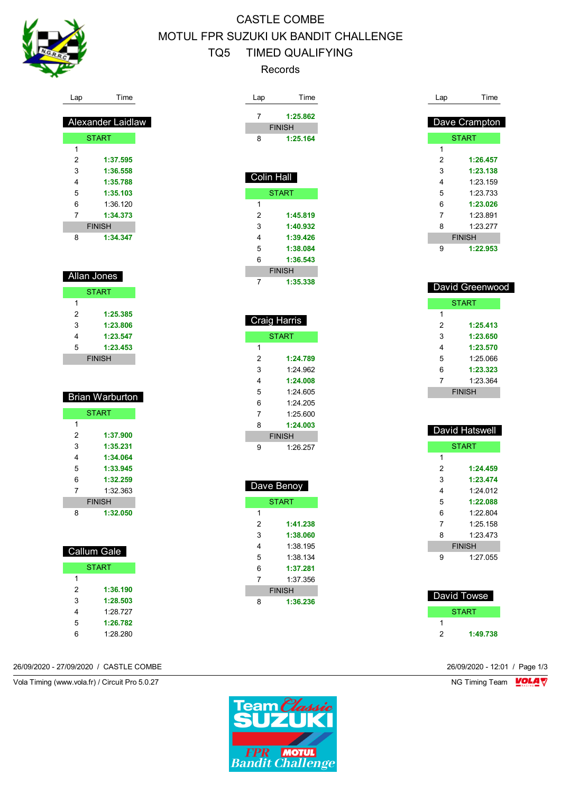

# CASTLE COMBE MOTUL FPR SUZUKI UK BANDIT CHALLENGE TQ5 TIMED QUALIFYING Records

| Lap            | Time                   | Time<br>Lap         |
|----------------|------------------------|---------------------|
|                |                        | 7<br>1:25.862       |
|                | Alexander Laidlaw      | <b>FINISH</b>       |
|                | <b>START</b>           | 8<br>1:25.164       |
| 1              |                        |                     |
| $\overline{2}$ | 1:37.595               |                     |
| 3              | 1:36.558               |                     |
| 4              | 1:35.788               | Colin Hall          |
| 5              | 1:35.103               | <b>START</b>        |
| 6              | 1:36.120               | $\mathbf{1}$        |
| $\overline{7}$ | 1:34.373               | 2<br>1:45.819       |
|                | <b>FINISH</b>          | 3<br>1:40.932       |
| 8              | 1:34.347               | 4<br>1:39.426       |
|                |                        | 5<br>1:38.084       |
|                |                        | 6<br>1:36.543       |
|                | Allan Jones            | <b>FINISH</b>       |
|                | <b>START</b>           | 7<br>1:35.338       |
| 1              |                        |                     |
| $\overline{2}$ | 1:25.385               |                     |
| 3              | 1:23.806               | <b>Craig Harris</b> |
| 4              | 1:23.547               | <b>START</b>        |
| 5              | 1:23.453               | 1                   |
|                | <b>FINISH</b>          | 2<br>1:24.789       |
|                |                        | 3<br>1:24.962       |
|                |                        | 4<br>1:24.008       |
|                | <b>Brian Warburton</b> | 5<br>1:24.605       |
|                |                        | 6<br>1:24.205       |
|                | <b>START</b>           | 7<br>1:25.600       |
| 1              |                        | 8<br>1:24.003       |
| $\overline{2}$ | 1:37.900               | <b>FINISH</b>       |
| 3              | 1:35.231               | 9<br>1:26.257       |
| 4<br>5         | 1:34.064<br>1:33.945   |                     |
| 6              | 1:32.259               |                     |
| 7              | 1:32.363               | Dave Benoy          |
|                | <b>FINISH</b>          | <b>START</b>        |
| 8              | 1:32.050               | 1                   |
|                |                        | 2<br>1:41.238       |
|                |                        | 3<br>1:38.060       |
|                |                        | 4<br>1:38.195       |
|                | <b>Callum Gale</b>     | 5<br>1:38.134       |
|                | <b>START</b>           | 6<br>1:37.281       |
| $\mathbf{1}$   |                        | 1:37.356<br>7       |

| Lap            | Time            |
|----------------|-----------------|
|                |                 |
|                | Dave Crampton   |
|                | <b>START</b>    |
| 1              |                 |
| $\overline{2}$ | 1:26.457        |
| 3              | 1:23.138        |
| 4              | 1:23.159        |
| 5              | 1:23.733        |
| 6              | 1:23.026        |
| 7              | 1:23.891        |
| 8              | 1:23.277        |
|                | <b>FINISH</b>   |
| 9              | 1:22.953        |
|                |                 |
|                |                 |
|                | David Greenwood |
|                | <b>START</b>    |
| 1              |                 |
| 2              | 1:25.413        |
| 3              | 1:23.650        |
| 4              | 1:23.570        |
| 5              | 1:25.066        |
| 6              | 1:23.323        |
| 7              | 1:23.364        |
|                | <b>FINISH</b>   |
|                |                 |
|                |                 |
|                |                 |
|                | David Hatswell  |
|                | <b>START</b>    |
| 1              |                 |
| $\overline{2}$ | 1:24.459        |
| 3              | 1:23.474        |
| 4              | 1:24.012        |
| 5              | 1:22.088        |
| c              | 1.00.001        |

|   | ----          |
|---|---------------|
| 1 |               |
| 2 | 1:24.459      |
| 3 | 1:23.474      |
| 4 | 1.24 012      |
| 5 | 1:22.088      |
| 6 | 1.22804       |
| 7 | 1:25.158      |
| 8 | 1.23 473      |
|   | <b>FINISH</b> |
| g | 1:27.055      |

| David Towse |          |
|-------------|----------|
|             | START    |
|             |          |
| 2           | 1:49.738 |
|             |          |

26/09/2020 - 27/09/2020 / CASTLE COMBE 26/09/2020 - 12:01 / Page 1/3

 **1:36.190 1:28.503** 1:28.727 **1:26.782** 1:28.280

Vola Timing (www.vola.fr) / Circuit Pro 5.0.27 NG Timing Team Monetary NG Timing Team Monetary



**FINISH 1:36.236**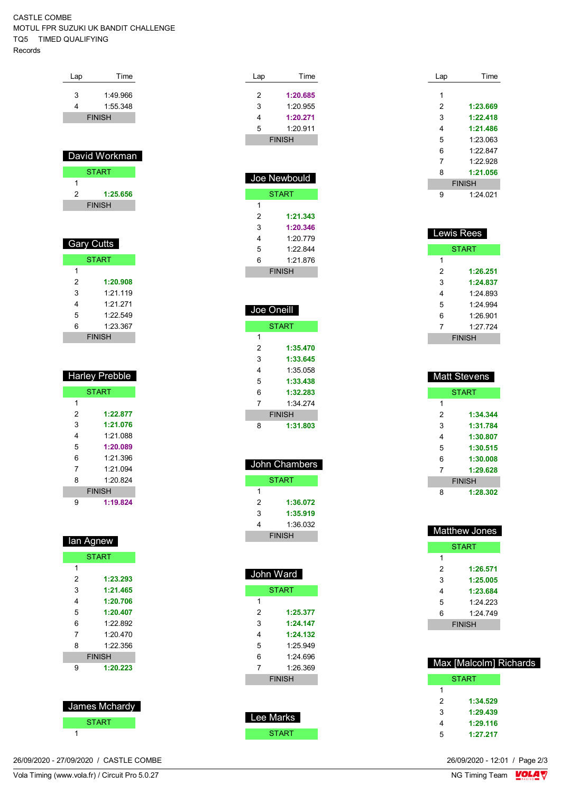#### CASTLE COMBE MOTUL FPR SUZUKI UK BANDIT CHALLENGE TQ5 TIMED QUALIFYING Records

| Lap            | Time                  |
|----------------|-----------------------|
|                |                       |
| 3              | 1:49.966              |
| 4              | 1:55.348              |
|                | <b>FINISH</b>         |
|                |                       |
|                |                       |
|                | David Workman         |
|                | <b>START</b>          |
| 1              |                       |
| $\overline{2}$ | 1:25.656              |
|                | <b>FINISH</b>         |
|                |                       |
|                |                       |
|                |                       |
|                |                       |
|                | <b>Gary Cutts</b>     |
|                | <b>START</b>          |
| 1              |                       |
| 2              | 1:20.908              |
| 3              | 1:21.119              |
| 4              | 1:21.271              |
| 5              | 1:22.549              |
| 6              | 1:23.367              |
|                | <b>FINISH</b>         |
|                |                       |
|                |                       |
|                |                       |
|                | <b>Harley Prebble</b> |

|   | <b>START</b>  |
|---|---------------|
| 1 |               |
| 2 | 1:22.877      |
| 3 | 1:21.076      |
| 4 | 1:21.088      |
| 5 | 1:20.089      |
| 6 | 1.21.396      |
| 7 | 1.21094       |
| 8 | 1.20824       |
|   | <b>FINISH</b> |
| g | 1:19.824      |

| lan Agnew     |          |  |  |
|---------------|----------|--|--|
| <b>START</b>  |          |  |  |
| 1             |          |  |  |
| 2             | 1:23.293 |  |  |
| 3             | 1:21.465 |  |  |
| 4             | 1:20.706 |  |  |
| 5             | 1:20.407 |  |  |
| 6             | 1:22.892 |  |  |
| 7             | 1.20 470 |  |  |
| 8             | 1.22.356 |  |  |
| <b>FINISH</b> |          |  |  |
| 9             | 1:20.223 |  |  |
|               |          |  |  |

| <b>James Mchardy</b> |  |  |
|----------------------|--|--|
| <b>START</b>         |  |  |
|                      |  |  |

| 26/09/2020 - 27/09/2020 / CASTLE COMBE | 26/09/2020 - 12:01 / Page 2/3 |
|----------------------------------------|-------------------------------|
|----------------------------------------|-------------------------------|

| La<br>p | Time          |
|---------|---------------|
| 2       | 1:20.685      |
| 3       | 1:20.955      |
| 4       | 1:20.271      |
| 5       | 1:20.911      |
|         | <b>FINISH</b> |
|         |               |

| Joe Newbould  |          |  |  |
|---------------|----------|--|--|
| <b>START</b>  |          |  |  |
| 1             |          |  |  |
| 2             | 1:21.343 |  |  |
| 3             | 1:20.346 |  |  |
| 4             | 1.20 779 |  |  |
| 5             | 1.22844  |  |  |
| 6             | 1.21.876 |  |  |
| <b>FINISH</b> |          |  |  |

| Joe Oneill |               |
|------------|---------------|
|            | <b>START</b>  |
| 1          |               |
| 2          | 1:35.470      |
| 3          | 1:33.645      |
| 4          | 1:35 058      |
| 5          | 1:33.438      |
| 6          | 1:32.283      |
| 7          | 1:34 274      |
|            | <b>FINISH</b> |
| 8          | 1:31.803      |

| John Chambers |          |
|---------------|----------|
| START         |          |
| 1             |          |
| 2             | 1:36.072 |
| 3             | 1:35.919 |
| 4             | 1:36.032 |
| <b>FINISH</b> |          |

Í

| John Ward     |          |  |
|---------------|----------|--|
| <b>START</b>  |          |  |
| 1             |          |  |
| 2             | 1:25.377 |  |
| 3             | 1:24.147 |  |
| 4             | 1:24.132 |  |
| 5             | 1.25949  |  |
| 6             | 1:24 696 |  |
| 7             | 1.26.369 |  |
| <b>FINISH</b> |          |  |
|               |          |  |
|               |          |  |

| Lee Marks |
|-----------|
| START     |

| Lap | Time          |
|-----|---------------|
| 1   |               |
| 2   | 1:23.669      |
| 3   | 1:22.418      |
| 4   | 1:21.486      |
| 5   | 1:23.063      |
| 6   | 1.22847       |
| 7   | 1.22.928      |
| 8   | 1:21.056      |
|     | <b>FINISH</b> |
| g   | 1.24021       |

| <b>Lewis Rees</b> |          |  |
|-------------------|----------|--|
| <b>START</b>      |          |  |
| 1                 |          |  |
| 2                 | 1:26.251 |  |
| 3                 | 1:24.837 |  |
| 4                 | 1:24.893 |  |
| 5                 | 1.24.994 |  |
| 6                 | 1:26.901 |  |
| 7                 | 1.27 724 |  |
| <b>FINISH</b>     |          |  |

| <b>Matt Stevens</b> |          |
|---------------------|----------|
| <b>START</b>        |          |
| 1                   |          |
| 2                   | 1:34.344 |
| 3                   | 1:31.784 |
| 4                   | 1:30.807 |
| 5                   | 1:30.515 |
| 6                   | 1:30.008 |
| 7                   | 1:29.628 |
| <b>FINISH</b>       |          |
| 8                   | 1:28.302 |

| <b>Matthew Jones</b> |              |
|----------------------|--------------|
|                      | <b>START</b> |
| 1                    |              |
| 2                    | 1:26.571     |
| 3                    | 1:25.005     |
| 4                    | 1:23.684     |
| 5                    | 1:24.223     |
| 6                    | 1.24749      |
| <b>FINISH</b>        |              |

| Max [Malcolm] Richards |              |
|------------------------|--------------|
|                        | <b>START</b> |
| 1                      |              |
| 2                      | 1:34.529     |
| 3                      | 1:29.439     |
| Δ                      | 1:29.116     |
| 5                      | 1:27.217     |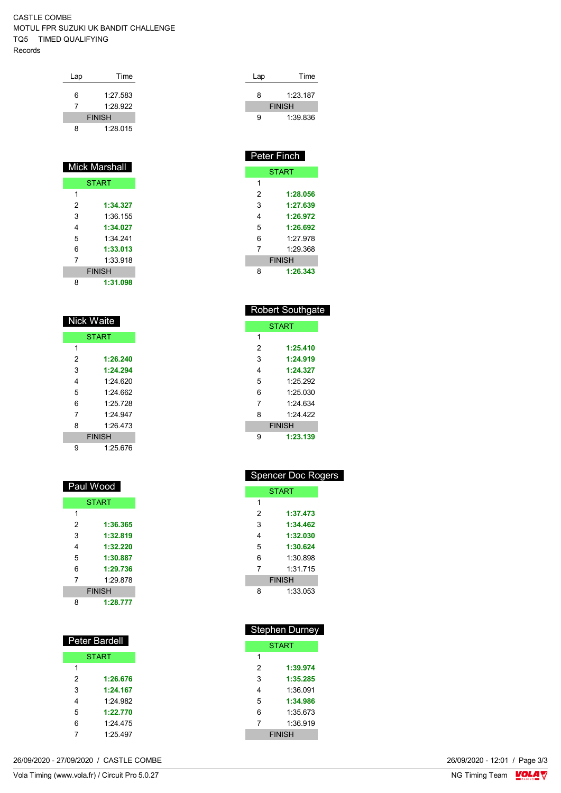#### CASTLE COMBE MOTUL FPR SUZUKI UK BANDIT CHALLENGE TQ5 TIMED QUALIFYING Records

| Lap                      | Time     |  |
|--------------------------|----------|--|
| 6                        | 1:27.583 |  |
| $\overline{\phantom{a}}$ | 1.28.922 |  |
| <b>FINISH</b>            |          |  |
| 8                        | 1.28015  |  |

|               | <b>Mick Marshall</b> |
|---------------|----------------------|
|               | <b>START</b>         |
| 1             |                      |
| 2             | 1:34.327             |
| 3             | 1:36.155             |
| 4             | 1:34.027             |
| 5             | 1:34 241             |
| 6             | 1:33.013             |
| 7             | 1:33.918             |
| <b>FINISH</b> |                      |
| 8             | 1:31.098             |

| Nick Waite    |              |  |
|---------------|--------------|--|
|               | <b>START</b> |  |
| 1             |              |  |
| 2             | 1:26.240     |  |
| 3             | 1:24.294     |  |
| 4             | 1.24 620     |  |
| 5             | 1.24 662     |  |
| 6             | 1.25 728     |  |
| 7             | 1.24 947     |  |
| 8             | 1.26 473     |  |
| <b>FINISH</b> |              |  |
| g             | 1:25.676     |  |

| Paul Wood |               |  |  |
|-----------|---------------|--|--|
|           | <b>START</b>  |  |  |
| 1         |               |  |  |
| 2         | 1:36.365      |  |  |
| 3         | 1:32.819      |  |  |
| 4         | 1:32.220      |  |  |
| 5         | 1:30.887      |  |  |
| 6         | 1:29.736      |  |  |
| 7         | 1:29.878      |  |  |
|           | <b>FINISH</b> |  |  |
| 8         | 1:28.777      |  |  |

| <b>Peter Bardell</b> |              |  |
|----------------------|--------------|--|
|                      | <b>START</b> |  |
| 1                    |              |  |
| 2                    | 1:26.676     |  |
| 3                    | 1:24.167     |  |
| 4                    | 1.24 982     |  |
| 5                    | 1:22.770     |  |
| 6                    | 1.24 475     |  |
| 7                    | 1:25.497     |  |

| Lap | Time          |  |
|-----|---------------|--|
| 8   | 1:23.187      |  |
|     | <b>FINISH</b> |  |
| a   | 1:39.836      |  |

| <b>Peter Finch</b> |               |  |  |  |
|--------------------|---------------|--|--|--|
|                    | <b>START</b>  |  |  |  |
| 1                  |               |  |  |  |
| 2                  | 1:28.056      |  |  |  |
| 3                  | 1:27.639      |  |  |  |
| 4                  | 1:26.972      |  |  |  |
| 5                  | 1:26.692      |  |  |  |
| 6                  | 1.27 978      |  |  |  |
| 7                  | 1.29.368      |  |  |  |
|                    | <b>FINISH</b> |  |  |  |
| 8                  | 1:26,343      |  |  |  |

| <b>Robert Southgate</b> |               |  |  |
|-------------------------|---------------|--|--|
|                         | <b>START</b>  |  |  |
| 1                       |               |  |  |
| 2                       | 1:25.410      |  |  |
| 3                       | 1:24.919      |  |  |
| 4                       | 1:24.327      |  |  |
| 5                       | 1.25292       |  |  |
| 6                       | 1:25030       |  |  |
| 7                       | 1.24 634      |  |  |
| 8                       | 1.24 422      |  |  |
|                         | <b>FINISH</b> |  |  |
| 9                       | 1:23.139      |  |  |

| <b>Spencer Doc Rogers</b> |               |  |  |  |
|---------------------------|---------------|--|--|--|
|                           | <b>START</b>  |  |  |  |
| 1                         |               |  |  |  |
| 2                         | 1:37.473      |  |  |  |
| 3                         | 1:34.462      |  |  |  |
| 4                         | 1:32.030      |  |  |  |
| 5                         | 1:30.624      |  |  |  |
| 6                         | 1:30.898      |  |  |  |
| 7                         | 1:31.715      |  |  |  |
|                           | <b>FINISH</b> |  |  |  |
| 8                         | 1:33.053      |  |  |  |

| <b>Stephen Durney</b> |          |  |  |  |
|-----------------------|----------|--|--|--|
| <b>START</b>          |          |  |  |  |
| 1                     |          |  |  |  |
| 2                     | 1:39.974 |  |  |  |
| 3                     | 1:35.285 |  |  |  |
| 4                     | 1:36 091 |  |  |  |
| 5                     | 1:34.986 |  |  |  |
| 6                     | 1:35 673 |  |  |  |
| 7                     | 1:36.919 |  |  |  |
| <b>FINISH</b>         |          |  |  |  |

26/09/2020 - 27/09/2020 / CASTLE COMBE

Vola Timing (www.vola.fr) / Circuit Pro 5.0.27

26/09/2020 - 12:01 / Page 3/3<br>NG Timing Team **VOLA**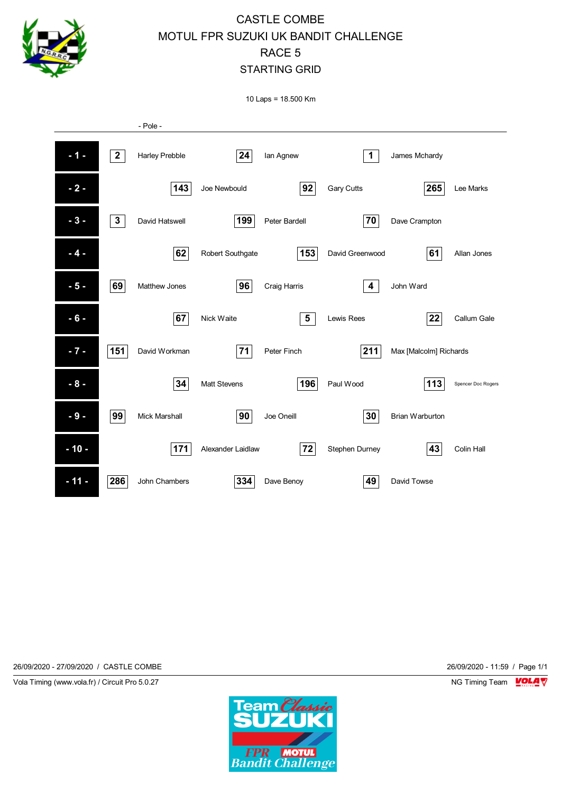

10 Laps = 18.500 Km



26/09/2020 - 27/09/2020 / CASTLE COMBE 26/09/2020 - 11:59 / Page 1/1

Vola Timing (www.vola.fr) / Circuit Pro 5.0.27 NG Timing Team NG Timing Team NG Timing Team NG Timing Team NG

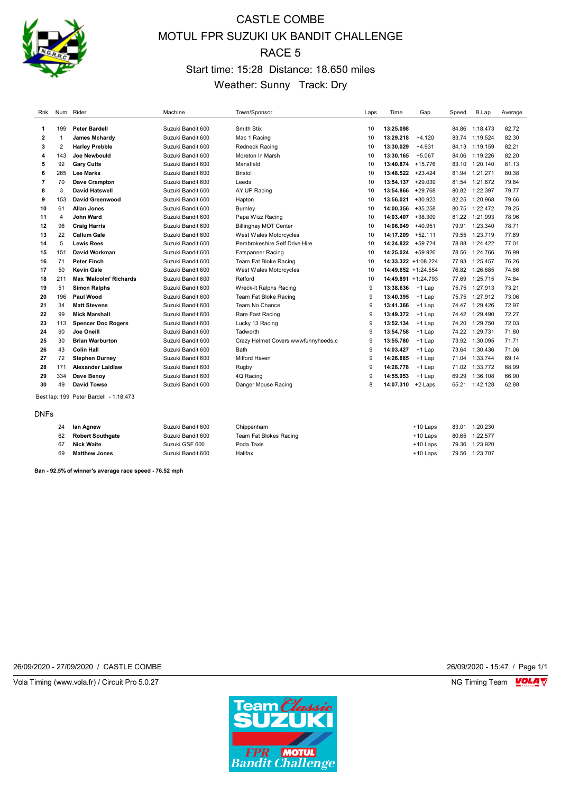

# CASTLE COMBE MOTUL FPR SUZUKI UK BANDIT CHALLENGE RACE 5 Start time: 15:28 Distance: 18.650 miles Weather: Sunny Track: Dry

| Rnk            |     | Num Rider                              | Machine           | Town/Sponsor                        | Laps         | Time<br>Gap            | Speed | B.Lap          | Average |
|----------------|-----|----------------------------------------|-------------------|-------------------------------------|--------------|------------------------|-------|----------------|---------|
| 1              | 199 | <b>Peter Bardell</b>                   | Suzuki Bandit 600 | Smith Stix                          | 10           | 13:25.098              | 84.86 | 1:18.473       | 82.72   |
| $\mathbf{2}$   |     | James Mchardy                          | Suzuki Bandit 600 | Mac 1 Racing                        | 10           | 13:29.218<br>$+4.120$  |       | 83.74 1:19.524 | 82.30   |
| 3              | 2   | <b>Harley Prebble</b>                  | Suzuki Bandit 600 | <b>Redneck Racing</b>               | 10           | 13:30.029<br>$+4.931$  |       | 84.13 1:19.159 | 82.21   |
| 4              | 143 | <b>Joe Newbould</b>                    | Suzuki Bandit 600 | Moreton In Marsh                    | 10           | 13:30.165<br>$+5.067$  | 84.06 | 1:19.226       | 82.20   |
| 5              | 92  | <b>Gary Cutts</b>                      | Suzuki Bandit 600 | Mansfield                           | 10           | 13:40.874<br>$+15.776$ | 83.10 | 1:20.140       | 81.13   |
| 6              | 265 | <b>Lee Marks</b>                       | Suzuki Bandit 600 | <b>Bristol</b>                      | 10           | 13:48.522<br>$+23.424$ |       | 81.94 1:21.271 | 80.38   |
| $\overline{7}$ | 70  | Dave Crampton                          | Suzuki Bandit 600 | Leeds                               | 10           | 13:54.137<br>$+29.039$ |       | 81.54 1:21.672 | 79.84   |
| 8              | 3   | <b>David Hatswell</b>                  | Suzuki Bandit 600 | AY UP Racing                        | 10           | 13:54.866<br>$+29.768$ | 80.82 | 1:22.397       | 79.77   |
| 9              | 153 | <b>David Greenwood</b>                 | Suzuki Bandit 600 | Hapton                              | 10           | 13:56.021<br>$+30.923$ | 82.25 | 1:20.968       | 79.66   |
| 10             | 61  | <b>Allan Jones</b>                     | Suzuki Bandit 600 | Burnley                             | 10           | 14:00.356<br>$+35.258$ |       | 80.75 1:22.472 | 79.25   |
| 11             | 4   | John Ward                              | Suzuki Bandit 600 | Papa Wizz Racing                    | 10           | 14:03.407<br>$+38.309$ |       | 81.22 1:21.993 | 78.96   |
| 12             | 96  | <b>Craig Harris</b>                    | Suzuki Bandit 600 | <b>Billinghay MOT Center</b>        | 10           | 14:06.049<br>$+40.951$ |       | 79.91 1:23.340 | 78.71   |
| 13             | 22  | <b>Callum Gale</b>                     | Suzuki Bandit 600 | West Wales Motorcycles              | 10           | 14:17.209<br>$+52.111$ | 79.55 | 1:23.719       | 77.69   |
| 14             | 5   | <b>Lewis Rees</b>                      | Suzuki Bandit 600 | Pembrokeshire Self Drive Hire       | 10           | 14:24.822<br>$+59.724$ | 78.88 | 1:24.422       | 77.01   |
| 15             | 151 | David Workman                          | Suzuki Bandit 600 | <b>Fatspanner Racing</b>            | 10           | 14:25.024 +59.926      |       | 78.56 1:24.766 | 76.99   |
| 16             | 71  | <b>Peter Finch</b>                     | Suzuki Bandit 600 | Team Fat Bloke Racing               | 10           | $14:33.322 + 1:08.224$ | 77.93 | 1:25.457       | 76.26   |
| 17             | 50  | <b>Kevin Gale</b>                      | Suzuki Bandit 600 | West Wales Motorcycles              | 10           | 14:49.652 +1:24.554    | 76.82 | 1:26.685       | 74.86   |
| 18             | 211 | <b>Max 'Malcolm' Richards</b>          | Suzuki Bandit 600 | Retford                             | 10           | 14:49.891 +1:24.793    | 77.69 | 1:25.715       | 74.84   |
| 19             | 51  | <b>Simon Ralphs</b>                    | Suzuki Bandit 600 | Wreck-It Ralphs Racing              | 9            | 13:38.636<br>$+1$ Lap  |       | 75.75 1:27.913 | 73.21   |
| 20             | 196 | Paul Wood                              | Suzuki Bandit 600 | Team Fat Bloke Racing               | 9            | 13:40.395<br>$+1$ Lap  | 75.75 | 1:27.912       | 73.06   |
| 21             | 34  | <b>Matt Stevens</b>                    | Suzuki Bandit 600 | Team No Chance                      | 9            | 13:41.366<br>$+1$ Lap  | 74.47 | 1:29.426       | 72.97   |
| 22             | 99  | <b>Mick Marshall</b>                   | Suzuki Bandit 600 | Rare Fast Racing                    | 9            | 13:49.372<br>$+1$ Lap  |       | 74.42 1:29.490 | 72.27   |
| 23             | 113 | <b>Spencer Doc Rogers</b>              | Suzuki Bandit 600 | Lucky 13 Racing                     | 9            | 13:52.134<br>+1 Lap    |       | 74.20 1:29.750 | 72.03   |
| 24             | 90  | Joe Oneill                             | Suzuki Bandit 600 | Tadworth                            | $\mathbf{Q}$ | 13:54.758<br>$+1$ Lap  |       | 74.22 1:29.731 | 71.80   |
| 25             | 30  | <b>Brian Warburton</b>                 | Suzuki Bandit 600 | Crazy Helmet Covers wwwfunnyheeds.c | 9            | 13:55.780<br>$+1$ Lap  |       | 73.92 1:30.095 | 71.71   |
| 26             | 43  | <b>Colin Hall</b>                      | Suzuki Bandit 600 | Bath                                | 9            | 14:03.427<br>$+1$ Lap  |       | 73.64 1:30.436 | 71.06   |
| 27             | 72  | <b>Stephen Durney</b>                  | Suzuki Bandit 600 | Milford Haven                       | 9            | 14:26.885<br>$+1$ Lap  |       | 71.04 1:33.744 | 69.14   |
| 28             | 171 | <b>Alexander Laidlaw</b>               | Suzuki Bandit 600 | Rugby                               | 9            | 14:28.778<br>$+1$ Lap  |       | 71.02 1:33.772 | 68.99   |
| 29             | 334 | Dave Benov                             | Suzuki Bandit 600 | 4Q Racing                           | 9            | 14:55.953<br>+1 Lap    | 69.29 | 1:36.108       | 66.90   |
| 30             | 49  | <b>David Towse</b>                     | Suzuki Bandit 600 | Danger Mouse Racing                 | 8            | 14:07.310<br>+2 Laps   | 65.21 | 1:42.128       | 62.88   |
|                |     | Best lap: 199 Peter Bardell - 1:18.473 |                   |                                     |              |                        |       |                |         |

DNFs

| 24 | lan Agnew               | Suzuki Bandit 600 | Chippenham             | $+10$ Laps | 83.01 | 1:20.230 |
|----|-------------------------|-------------------|------------------------|------------|-------|----------|
| 62 | <b>Robert Southgate</b> | Suzuki Bandit 600 | Team Fat Blokes Racing | $+10$ Laps | 80.65 | 1:22.577 |
|    | <b>Nick Waite</b>       | Suzuki GSF 600    | Poda Taxis             | $+10$ Laps | 79.36 | 1:23.920 |
| 69 | <b>Matthew Jones</b>    | Suzuki Bandit 600 | Halifax                | $+10$ Laps | 79.56 | 1:23.707 |

**Ban - 92.5% of winner's average race speed - 76.52 mph**

26/09/2020 - 27/09/2020 / CASTLE COMBE 26/09/2020 - 15:47 / Page 1/1

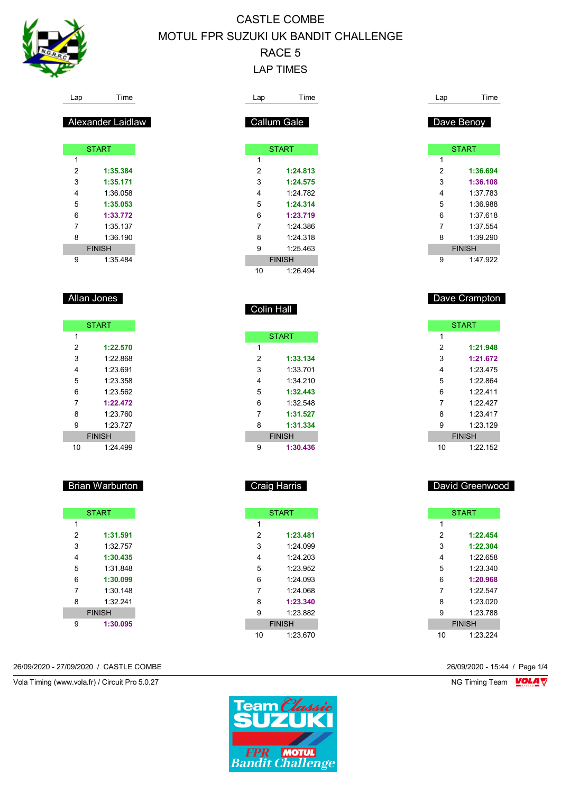

Lap Time

Alexander Laidlaw

START **START** 

 **1:35.384 1:35.171** 1:36.058 **1:35.053 1:33.772** 1:35.137 1:36.190 FINISH 1:35.484

Allan Jones

 $\overline{1}$ 

**START** 

 **1:22.570** 1:22.868 1:23.691 1:23.358 1:23.562 **1:22.472** 1:23.760 1:23.727 FINISH 1:24.499

Brian Warburton

START

 **1:31.591** 1:32.757 **1:30.435** 1:31.848 **1:30.099** 1:30.148 1:32.241 FINISH **1:30.095**

# CASTLE COMBE MOTUL FPR SUZUKI UK BANDIT CHALLENGE RACE 5 LAP TIMES

| Lap               | Time                      |
|-------------------|---------------------------|
|                   |                           |
|                   | Callum Gale               |
|                   |                           |
|                   | <b>START</b>              |
| 1                 |                           |
| $\overline{2}$    | 1:24.813                  |
| 3                 | 1:24.575                  |
| 4                 | 1:24.782                  |
| 5                 | 1:24.314                  |
| 6                 | 1:23.719                  |
| 7                 | 1:24.386                  |
| 8                 | 1:24.318                  |
| 9                 | 1:25.463                  |
|                   | <b>FINISH</b>             |
| 10                | 1:26.494                  |
|                   |                           |
|                   |                           |
| <b>Colin Hall</b> |                           |
|                   |                           |
|                   |                           |
|                   | <b>START</b>              |
| 1                 |                           |
| $\overline{2}$    | 1:33.134                  |
| 3                 | 1:33.701                  |
| 4                 | 1:34.210                  |
| 5                 | 1:32.443                  |
| 6                 | 1:32.548                  |
| 7                 | 1:31.527                  |
| 8                 | 1:31.334                  |
|                   | <b>FINISH</b>             |
| 9                 | 1:30.436                  |
|                   |                           |
|                   |                           |
|                   | Craig Harris              |
|                   |                           |
|                   |                           |
|                   | <b>START</b>              |
| $\mathbf{1}$      |                           |
| $\overline{2}$    | 1:23.481                  |
| 3                 | 1:24.099                  |
| $\overline{4}$    | 1:24.203                  |
| 5                 | 1:23.952                  |
|                   |                           |
| 6                 | 1:24.093                  |
| $\overline{7}$    | 1:24.068                  |
| 8                 | 1:23.340                  |
| 9                 | 1:23.882<br><b>FINISH</b> |

26/09/2020 - 27/09/2020 / CASTLE COMBE 26/09/2020 - 15:44 / Page 1/4

Vola Timing (www.vola.fr) / Circuit Pro 5.0.27 NG Timing Team NG Timing Team NG Timing Team NG Timing Team NG

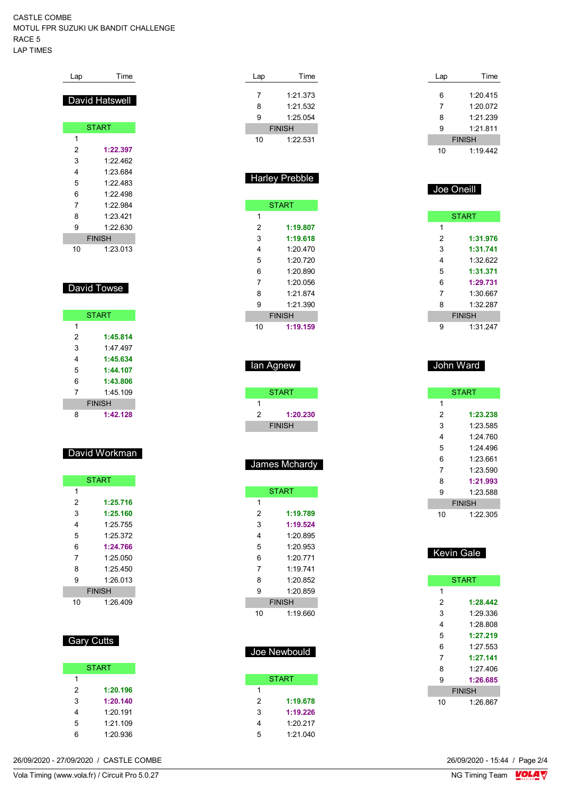#### CASTLE COMBE MOTUL FPR SUZUKI UK BANDIT CHALLENGE RACE 5 LAP TIMES

| Lap | Time           |
|-----|----------------|
|     | David Hatswell |
|     |                |
|     | <b>START</b>   |
| 1   |                |
| 2   | 1:22.397       |
| 3   | 1.22 462       |
| 4   | 1:23.684       |
| 5   | 1.22 483       |
| 6   | 1.22 498       |
| 7   | 1.22984        |
| 8   | 1.23 421       |
| 9   | 1:22.630       |
|     | <b>FINISH</b>  |
| 10  | 1:23.013       |

### David Towse

|   | <b>START</b>  |
|---|---------------|
| 1 |               |
| 2 | 1:45.814      |
| 3 | 1.47 497      |
| 4 | 1:45.634      |
| 5 | 1:44.107      |
| 6 | 1:43.806      |
| 7 | 1.45109       |
|   | <b>FINISH</b> |
| 8 | 1:42.128      |

#### David Workman

| <b>START</b>  |          |  |
|---------------|----------|--|
| 1             |          |  |
| 2             | 1:25.716 |  |
| 3             | 1:25.160 |  |
| 4             | 1:25.755 |  |
| 5             | 1.25.372 |  |
| 6             | 1:24.766 |  |
| 7             | 1:25.050 |  |
| 8             | 1.25450  |  |
| 9             | 1.26013  |  |
| <b>FINISH</b> |          |  |
| 10            | 1:26.409 |  |

### Gary Cutts

| <b>START</b> |
|--------------|
|              |
| 1:20.196     |
| 1:20.140     |
| 1:20.191     |
| 1.21109      |
| 1:20.936     |
|              |

| Lap | Time          |
|-----|---------------|
| 7   | 1:21.373      |
|     |               |
| 8   | 1:21.532      |
| 9   | 1:25.054      |
|     | <b>FINISH</b> |
| 10  | 1:22.531      |
|     |               |
|     |               |

## Harley Prebble

|    | <b>START</b>  |
|----|---------------|
| 1  |               |
| 2  | 1:19.807      |
| 3  | 1:19.618      |
| 4  | 1:20.470      |
| 5  | 1:20.720      |
| 6  | 1:20.890      |
| 7  | 1:20056       |
| 8  | 1.21874       |
| 9  | 1.21390       |
|    | <b>FINISH</b> |
| 10 | 1:19.159      |

| lan Agnew |
|-----------|
|-----------|

|   | <b>START</b>  |
|---|---------------|
|   |               |
| 2 | 1:20.230      |
|   | <b>FINISH</b> |

## James Mchardy

|               | <b>START</b> |
|---------------|--------------|
| 1             |              |
| 2             | 1:19.789     |
| 3             | 1:19.524     |
| 4             | 1:20.895     |
| 5             | 1.20.953     |
| 6             | 1:20.771     |
| 7             | 1:19 741     |
| 8             | 1:20.852     |
| 9             | 1:20.859     |
| <b>FINISH</b> |              |
| 10            | 1:19.660     |

### Joe Newbould

|   | <b>START</b> |
|---|--------------|
|   |              |
| 2 | 1:19.678     |
| 3 | 1:19.226     |
| 4 | 1:20.217     |
| 5 | 1:21.040     |

| Lap | Time          |  |
|-----|---------------|--|
| 6   | 1:20.415      |  |
| 7   | 1:20.072      |  |
| 8   | 1:21.239      |  |
| 9   | 1:21.811      |  |
|     | <b>FINISH</b> |  |
| 10  | 1:19.442      |  |

### Joe Oneill

| <b>START</b>  |          |  |
|---------------|----------|--|
| 1             |          |  |
| 2             | 1:31.976 |  |
| 3             | 1:31.741 |  |
| 4             | 1:32622  |  |
| 5             | 1:31.371 |  |
| 6             | 1:29.731 |  |
| 7             | 1:30.667 |  |
| 8             | 1:32 287 |  |
| <b>FINISH</b> |          |  |
| 9             | 1:31.247 |  |

#### John Ward

|               | <b>START</b> |
|---------------|--------------|
| 1             |              |
| 2             | 1:23.238     |
| 3             | 1:23.585     |
| 4             | 1:24 760     |
| 5             | 1.24496      |
| 6             | 1:23.661     |
| 7             | 1:23.590     |
| 8             | 1:21.993     |
| 9             | 1.23.588     |
| <b>FINISH</b> |              |
| 10            | 1:22.305     |

## Kevin Gale

|               | <b>START</b> |  |
|---------------|--------------|--|
| 1             |              |  |
| 2             | 1:28.442     |  |
| 3             | 1.29 336     |  |
| 4             | 1.28 808     |  |
| 5             | 1:27.219     |  |
| 6             | 1:27.553     |  |
| 7             | 1:27.141     |  |
| 8             | 1.27406      |  |
| 9             | 1:26.685     |  |
| <b>FINISH</b> |              |  |
| 10            | 1.26867      |  |
|               |              |  |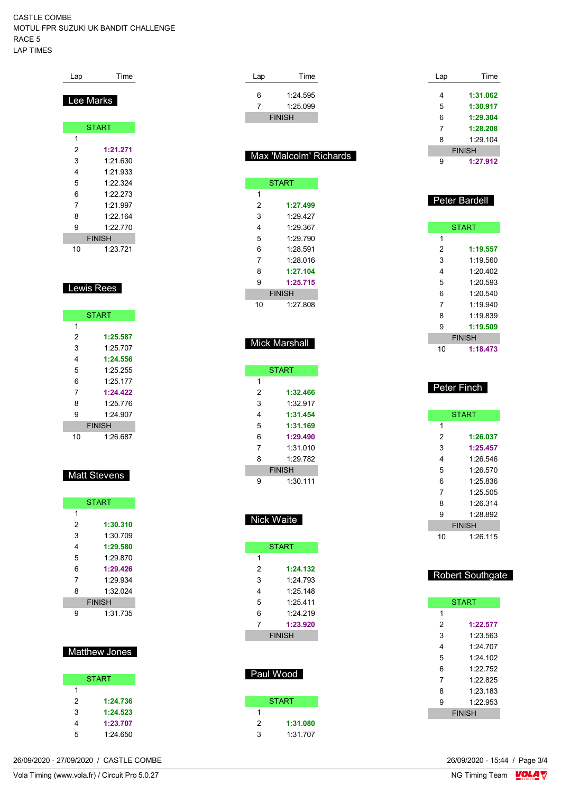#### CASTLE COMBE MOTUL FPR SUZUKI UK BANDIT CHALLENGE RACE 5 LAP TIMES

Lap Time

| ee Marks<br>ı |  |  |  |  |  |  |  |  |  |  |  |
|---------------|--|--|--|--|--|--|--|--|--|--|--|
| <b>START</b>  |  |  |  |  |  |  |  |  |  |  |  |
|               |  |  |  |  |  |  |  |  |  |  |  |
| 1:21.271      |  |  |  |  |  |  |  |  |  |  |  |
| 1:21.630      |  |  |  |  |  |  |  |  |  |  |  |
| 1:21.933      |  |  |  |  |  |  |  |  |  |  |  |
| 1:22.324      |  |  |  |  |  |  |  |  |  |  |  |
| 1:22.273      |  |  |  |  |  |  |  |  |  |  |  |
| 1:21.997      |  |  |  |  |  |  |  |  |  |  |  |
| 1:22.164      |  |  |  |  |  |  |  |  |  |  |  |
| 1:22.770      |  |  |  |  |  |  |  |  |  |  |  |
| <b>FINISH</b> |  |  |  |  |  |  |  |  |  |  |  |
| 1:23.721      |  |  |  |  |  |  |  |  |  |  |  |
| ewis Rees_    |  |  |  |  |  |  |  |  |  |  |  |
| <b>START</b>  |  |  |  |  |  |  |  |  |  |  |  |
|               |  |  |  |  |  |  |  |  |  |  |  |
| 1:25.587      |  |  |  |  |  |  |  |  |  |  |  |
| 1:25.707      |  |  |  |  |  |  |  |  |  |  |  |
| 1:24.556      |  |  |  |  |  |  |  |  |  |  |  |
| 1:25.255      |  |  |  |  |  |  |  |  |  |  |  |
| 1:25.177      |  |  |  |  |  |  |  |  |  |  |  |
|               |  |  |  |  |  |  |  |  |  |  |  |
| 1:24.422      |  |  |  |  |  |  |  |  |  |  |  |
|               |  |  |  |  |  |  |  |  |  |  |  |

|               | <b>START</b> |  |  |  |  |  |  |  |  |  |
|---------------|--------------|--|--|--|--|--|--|--|--|--|
| 1             |              |  |  |  |  |  |  |  |  |  |
| 2             | 1:25.587     |  |  |  |  |  |  |  |  |  |
| 3             | 1.25707      |  |  |  |  |  |  |  |  |  |
| 4             | 1:24.556     |  |  |  |  |  |  |  |  |  |
| 5             | 1.25 255     |  |  |  |  |  |  |  |  |  |
| 6             | 1.25177      |  |  |  |  |  |  |  |  |  |
| 7             | 1:24.422     |  |  |  |  |  |  |  |  |  |
| 8             | 1.25 776     |  |  |  |  |  |  |  |  |  |
| 9             | 1.24907      |  |  |  |  |  |  |  |  |  |
| <b>FINISH</b> |              |  |  |  |  |  |  |  |  |  |
| 10            | 1:26.687     |  |  |  |  |  |  |  |  |  |

#### **Matt Stevens**

|   | <b>START</b>  |
|---|---------------|
| 1 |               |
| 2 | 1:30.310      |
| 3 | 1:30.709      |
| 4 | 1:29.580      |
| 5 | 1.29870       |
| 6 | 1:29.426      |
| 7 | 1.29934       |
| 8 | 1:32.024      |
|   | <b>FINISH</b> |
| g | 1:31 735      |

## Matthew Jones

|   | <b>START</b> |
|---|--------------|
| 1 |              |
| 2 | 1:24.736     |
| 3 | 1:24.523     |
| 4 | 1:23.707     |
| 5 | 1:24.650     |

| Lap    | Time                   | Lap            | Time                    |
|--------|------------------------|----------------|-------------------------|
|        |                        |                |                         |
| 6      | 1:24.595               | 4              | 1:31.062                |
| 7      | 1:25.099               | 5              | 1:30.917                |
|        | <b>FINISH</b>          | 6              | 1:29.304                |
|        |                        | 7              | 1:28.208                |
|        |                        | 8              | 1:29.104                |
|        | Max 'Malcolm' Richards |                | <b>FINISH</b>           |
|        |                        | 9              | 1:27.912                |
|        |                        |                |                         |
|        | <b>START</b>           |                |                         |
| 1      |                        |                | <b>Peter Bardell</b>    |
| 2      | 1:27.499               |                |                         |
| 3      | 1:29.427               |                |                         |
| 4      | 1:29.367               |                | <b>START</b>            |
| 5      | 1:29.790               | 1              |                         |
| 6      | 1:28.591               | $\overline{2}$ | 1:19.557                |
| 7      | 1:28.016               | 3              | 1:19.560                |
| 8      | 1:27.104               | 4              | 1:20.402                |
| 9      | 1:25.715               | 5              | 1:20.593                |
|        | <b>FINISH</b>          | 6              | 1:20.540                |
| 10     | 1:27.808               | 7              | 1:19.940                |
|        |                        | 8              | 1:19.839                |
|        |                        | 9              | 1:19.509                |
|        |                        |                | <b>FINISH</b>           |
|        | <b>Mick Marshall</b>   | 10             | 1:18.473                |
|        |                        |                |                         |
|        | <b>START</b>           |                |                         |
| 1      |                        |                |                         |
| 2      | 1:32.466               |                | Peter Finch             |
| 3      |                        |                |                         |
|        | 1:32.917               |                |                         |
|        |                        |                |                         |
| 4      | 1:31.454               |                | <b>START</b>            |
| 5      | 1:31.169               | 1              |                         |
| 6      | 1:29.490               | 2              | 1:26.037                |
| 7      | 1:31.010               | 3              | 1:25.457                |
| 8      | 1:29.782               | 4              | 1:26.546                |
|        | <b>FINISH</b>          | 5              | 1:26.570                |
| 9      | 1:30.111               | 6              | 1:25.836                |
|        |                        | 7              | 1:25.505                |
|        |                        | 8              | 1:26.314                |
|        |                        | 9              | 1:28.892                |
|        | Nick Waite             |                | <b>FINISH</b>           |
|        |                        | 10             | 1:26.115                |
|        | <b>START</b>           |                |                         |
| 1      |                        |                |                         |
| 2      | 1:24.132               |                |                         |
| 3      | 1:24.793               |                | <b>Robert Southgate</b> |
| 4      | 1:25.148               |                |                         |
| 5      | 1:25.411               |                | <b>START</b>            |
| 6      | 1:24.219               | 1              |                         |
| 7      | 1:23.920               | $\overline{2}$ | 1:22.577                |
|        | <b>FINISH</b>          | 3              | 1:23.563                |
|        |                        | 4              | 1:24.707                |
|        |                        | 5              | 1:24.102                |
|        |                        | 6              | 1:22.752                |
|        | Paul Wood              | 7              |                         |
|        |                        |                | 1:22.825                |
|        |                        | 8              | 1:23.183                |
|        | <b>START</b>           | 9              | 1:22.953                |
| 1      |                        |                | <b>FINISH</b>           |
| 2<br>3 | 1:31.080<br>1:31.707   |                |                         |

26/09/2020 - 27/09/2020 / CASTLE COMBE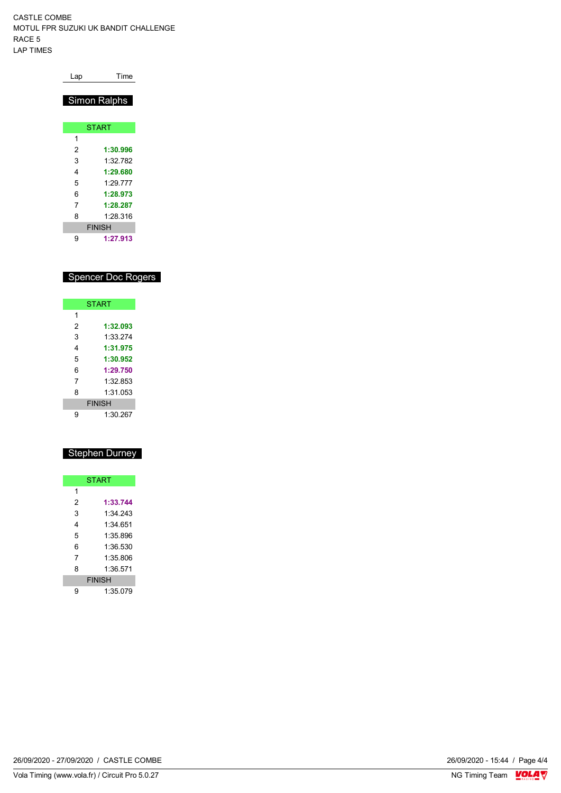CASTLE COMBE MOTUL FPR SUZUKI UK BANDIT CHALLENGE RACE 5 LAP TIMES

| Lap | Time          |
|-----|---------------|
|     | Simon Ralphs  |
|     | <b>START</b>  |
| 1   |               |
| 2   | 1:30.996      |
| 3   | 1:32 782      |
| 4   | 1:29.680      |
| 5   | 1.29 777      |
| 6   | 1:28.973      |
| 7   | 1:28.287      |
| 8   | 1:28.316      |
|     | <b>FINISH</b> |
| 9   | 1:27.913      |

# Spencer Doc Rogers

|   | <b>START</b>  |
|---|---------------|
| 1 |               |
| 2 | 1:32.093      |
| 3 | 1:33 274      |
| 4 | 1:31.975      |
| 5 | 1:30.952      |
| 6 | 1:29.750      |
| 7 | 1:32 853      |
| 8 | 1:31 053      |
|   | <b>FINISH</b> |
| g | 1:30.267      |

# Stephen Durney

|   | <b>START</b>  |
|---|---------------|
| 1 |               |
| 2 | 1:33.744      |
| 3 | 1:34 243      |
| 4 | 1:34 651      |
| 5 | 1.35896       |
| 6 | 1:36.530      |
| 7 | 1.35.806      |
| 8 | 1:36.571      |
|   | <b>FINISH</b> |
| 9 | 1:35.079      |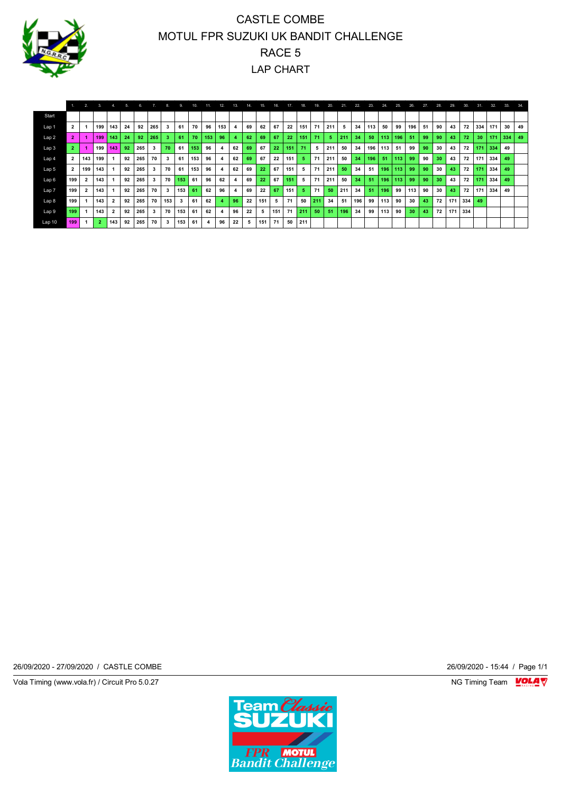

# CASTLE COMBE MOTUL FPR SUZUKI UK BANDIT CHALLENGE RACE 5 LAP CHART

|                  |                         | 2.                      | 3.  | 4.  | 5. | 6.  |     | 8.  | 9.  | 10. | 11  | 12. | 13. | 14. | 15. | 16. | 17  | 18. | 19. | 20. | 21. | 22. | 23. | 24. | 25. | 26. | 27. | 28. | 29. | 30. | 31. | 32. | 33. | 34. |
|------------------|-------------------------|-------------------------|-----|-----|----|-----|-----|-----|-----|-----|-----|-----|-----|-----|-----|-----|-----|-----|-----|-----|-----|-----|-----|-----|-----|-----|-----|-----|-----|-----|-----|-----|-----|-----|
| Start            |                         |                         |     |     |    |     |     |     |     |     |     |     |     |     |     |     |     |     |     |     |     |     |     |     |     |     |     |     |     |     |     |     |     |     |
| Lap 1            | $\overline{2}$          |                         | 199 | 143 | 24 | 92  | 265 | 3   | 61  | 70  | 96  | 153 | 4   | 69  | 62  | 67  | 22  | 151 | 71  | 211 | 5   | 34  | 113 | 50  | 99  | 196 | 51  | 90  | 43  | 72  | 334 | 171 | 30  | 49  |
| Lap <sub>2</sub> | $\overline{2}$          |                         | 199 | 143 | 24 | 92  | 265 |     | 61  | 70  | 153 | 96  |     | 62  | 69  | 67  | 22  | 151 | 71  |     | 211 | 34  | 50  | 113 | 196 | 51  | 99  | 90  | 43  | 72  | 30  | 171 | 334 | 49  |
| Lap <sub>3</sub> | 2                       |                         | 199 | 143 | 92 | 265 | 3   | 70  | 61  | 153 | 96  |     | 62  | 69  | 67  | 22  | 151 | 71  | 5   | 211 | 50  | 34  | 196 | 113 | 51  | 99  | 90  | 30  | 43  | 72  | 171 | 334 | 49  |     |
| Lap 4            | $\overline{\mathbf{2}}$ | 143                     | 199 |     | 92 | 265 | 70  | 3   | 61  | 153 | 96  |     | 62  | 69  | 67  | 22  | 151 | 5   | 71  | 211 | 50  | 34  | 196 | 51  | 113 | 99  | 90  | 30  | 43  | 72  | 171 | 334 | 49  |     |
| Lap 5            | $\overline{2}$          | 199                     | 143 |     | 92 | 265 | 3   | 70  | 61  | 153 | 96  |     | 62  | 69  | 22  | 67  | 151 | 5   | 71  | 211 | 50  | 34  | 51  | 196 | 113 | 99  | 90  | 30  | 43  | 72  | 171 | 334 | 49  |     |
| Lap <sub>6</sub> | 199                     | $\overline{\mathbf{2}}$ | 143 |     | 92 | 265 | 3   | 70  | 153 | 61  | 96  | 62  | 4   | 69  | 22  | 67  | 151 | 5   | 71  | 211 | 50  | 34  | 51  | 196 | 113 | 99  | 90  | 30  | 43  | 72  | 171 | 334 | 49  |     |
| Lap <sub>7</sub> | 199                     | 2                       | 143 |     | 92 | 265 | 70  | 3   | 153 | 61  | 62  | 96  | 4   | 69  | 22  | 67  | 151 | 5.  | 71  | 50  | 211 | 34  | 51  | 196 | 99  | 113 | 90  | 30  | 43  | 72  | 171 | 334 | 49  |     |
| Lap <sub>8</sub> | 199                     |                         | 143 |     | 92 | 265 | 70  | 153 | 3   | 61  | 62  |     | 96  | 22  | 151 | 5   | 71  | 50  | 211 | 34  | 51  | 196 | 99  | 113 | 90  | 30  | 43  | 72  | 171 | 334 | 49  |     |     |     |
| Lap <sub>9</sub> | 199                     |                         | 143 |     | 92 | 265 | 3   | 70  | 153 | 61  | 62  |     | 96  | 22  | 5   | 151 | 71  | 211 | 50  | 51  | 196 | 34  | 99  | 113 | 90  | 30  | 43  | 72  | 171 | 334 |     |     |     |     |
| Lap10            | 199                     |                         | 2   | 143 | 92 | 265 | 70  | 3   | 153 | 61  |     | 96  | 22  | 5   | 151 | 71  | 50  | 211 |     |     |     |     |     |     |     |     |     |     |     |     |     |     |     |     |

26/09/2020 - 27/09/2020 / CASTLE COMBE 26/09/2020 - 15:44 / Page 1/1

Vola Timing (www.vola.fr) / Circuit Pro 5.0.27 NG Timing Team MC Timing Team MC Timing Team M